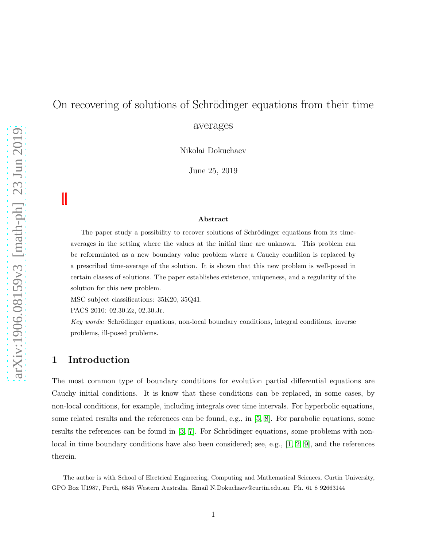# On recovering of solutions of Schrödinger equations from their time averages

Nikolai Dokuchaev

June 25, 2019

#### Abstract

The paper study a possibility to recover solutions of Schrödinger equations from its timeaverages in the setting where the values at the initial time are unknown. This problem can be reformulated as a new boundary value problem where a Cauchy condition is replaced by a prescribed time-average of the solution. It is shown that this new problem is well-posed in certain classes of solutions. The paper establishes existence, uniqueness, and a regularity of the solution for this new problem.

MSC subject classifications: 35K20, 35Q41.

PACS 2010: 02.30.Zz, 02.30.Jr.

Key words: Schrödinger equations, non-local boundary conditions, integral conditions, inverse problems, ill-posed problems.

# 1 Introduction

The most common type of boundary condtitions for evolution partial differential equations are Cauchy initial conditions. It is know that these conditions can be replaced, in some cases, by non-local conditions, for example, including integrals over time intervals. For hyperbolic equations, some related results and the references can be found, e.g., in [\[5,](#page-8-0) [8\]](#page-8-1). For parabolic equations, some results the references can be found in  $\left[3, 7\right]$ . For Schrödinger equations, some problems with nonlocal in time boundary conditions have also been considered; see, e.g., [\[1,](#page-8-4) [2,](#page-8-5) [9\]](#page-8-6), and the references therein.

The author is with School of Electrical Engineering, Computing and Mathematical Sciences, Curtin University, GPO Box U1987, Perth, 6845 Western Australia. Email N.Dokuchaev@curtin.edu.au. Ph. 61 8 92663144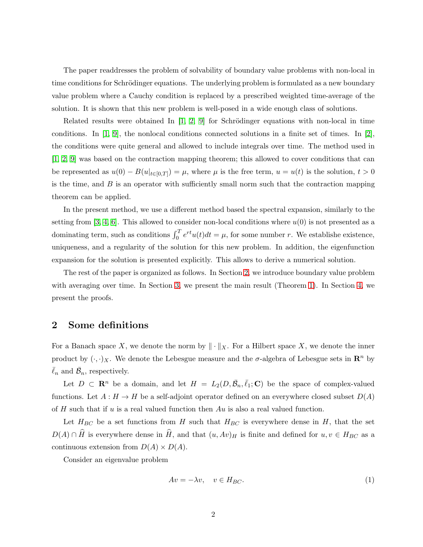The paper readdresses the problem of solvability of boundary value problems with non-local in time conditions for Schrödinger equations. The underlying problem is formulated as a new boundary value problem where a Cauchy condition is replaced by a prescribed weighted time-average of the solution. It is shown that this new problem is well-posed in a wide enough class of solutions.

Related results were obtained In  $[1, 2, 9]$  $[1, 2, 9]$  $[1, 2, 9]$  for Schrödinger equations with non-local in time conditions. In [\[1,](#page-8-4) [9\]](#page-8-6), the nonlocal conditions connected solutions in a finite set of times. In [\[2\]](#page-8-5), the conditions were quite general and allowed to include integrals over time. The method used in [\[1,](#page-8-4) [2,](#page-8-5) [9\]](#page-8-6) was based on the contraction mapping theorem; this allowed to cover conditions that can be represented as  $u(0) - B(u|_{t \in [0,T]}) = \mu$ , where  $\mu$  is the free term,  $u = u(t)$  is the solution,  $t > 0$ is the time, and  $B$  is an operator with sufficiently small norm such that the contraction mapping theorem can be applied.

In the present method, we use a different method based the spectral expansion, similarly to the setting from [\[3,](#page-8-2) [4,](#page-8-7) [6\]](#page-8-8). This allowed to consider non-local conditions where  $u(0)$  is not presented as a dominating term, such as conditions  $\int_0^T e^{rt} u(t) dt = \mu$ , for some number r. We establishe existence, uniqueness, and a regularity of the solution for this new problem. In addition, the eigenfunction expansion for the solution is presented explicitly. This allows to derive a numerical solution.

The rest of the paper is organized as follows. In Section [2,](#page-1-0) we introduce boundary value problem with averaging over time. In Section [3,](#page-3-0) we present the main result (Theorem [1\)](#page-3-1). In Section [4,](#page-3-2) we present the proofs.

#### <span id="page-1-0"></span>2 Some definitions

For a Banach space X, we denote the norm by  $\|\cdot\|_X$ . For a Hilbert space X, we denote the inner product by  $(\cdot, \cdot)_X$ . We denote the Lebesgue measure and the  $\sigma$ -algebra of Lebesgue sets in  $\mathbb{R}^n$  by  $\bar{\ell}_n$  and  $\bar{\mathcal{B}}_n$ , respectively.

Let  $D \subset \mathbb{R}^n$  be a domain, and let  $H = L_2(D, \bar{B}_n, \bar{\ell}_1; \mathbb{C})$  be the space of complex-valued functions. Let  $A: H \to H$  be a self-adjoint operator defined on an everywhere closed subset  $D(A)$ of  $H$  such that if  $u$  is a real valued function then  $Au$  is also a real valued function.

Let  $H_{BC}$  be a set functions from H such that  $H_{BC}$  is everywhere dense in H, that the set  $D(A) \cap \widehat{H}$  is everywhere dense in  $\widehat{H}$ , and that  $(u, Av)_{H}$  is finite and defined for  $u, v \in H_{BC}$  as a continuous extension from  $D(A) \times D(A)$ .

Consider an eigenvalue problem

<span id="page-1-1"></span>
$$
Av = -\lambda v, \quad v \in H_{BC}.\tag{1}
$$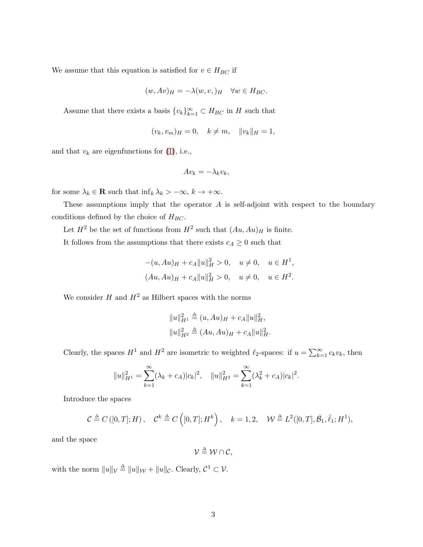We assume that this equation is satisfied for  $v \in H_{BC}$  if

$$
(w, Av)_H = -\lambda(w, v, )_H \quad \forall w \in H_{BC}.
$$

Assume that there exists a basis  ${v_k}_{k=1}^{\infty} \subset H_{BC}$  in H such that

$$
(v_k, v_m)_H = 0, \quad k \neq m, \quad ||v_k||_H = 1,
$$

and that  $v_k$  are eigenfunctions for [\(1\)](#page-1-1), i.e.,

$$
Av_k = -\lambda_k v_k,
$$

for some  $\lambda_k \in \mathbf{R}$  such that  $\inf_k \lambda_k > -\infty$ ,  $k \to +\infty$ .

These assumptions imply that the operator  $A$  is self-adjoint with respect to the boundary conditions defined by the choice of  $H_{BC}$ .

Let  $H^2$  be the set of functions from  $H^2$  such that  $(Au, Au)$ <sub>H</sub> is finite.

It follows from the assumptions that there exists  $c_A \geq 0$  such that

$$
-(u, Au)_{H} + c_{A}||u||_{H}^{2} > 0, \quad u \neq 0, \quad u \in H^{1},
$$
  

$$
(Au, Au)_{H} + c_{A}||u||_{H}^{2} > 0, \quad u \neq 0, \quad u \in H^{2}.
$$

We consider  $H$  and  $H^2$  as Hilbert spaces with the norms

$$
||u||_{H^1}^2 \triangleq (u, Au)_H + c_A ||u||_H^2,
$$
  

$$
||u||_{H^2}^2 \triangleq (Au, Au)_H + c_A ||u||_H^2.
$$

Clearly, the spaces  $H^1$  and  $H^2$  are isometric to weighted  $\ell_2$ -spaces: if  $u = \sum_{k=1}^{\infty} c_k v_k$ , then

$$
||u||_{H^1}^2 = \sum_{k=1}^{\infty} (\lambda_k + c_A)|c_k|^2, \quad ||u||_{H^2}^2 = \sum_{k=1}^{\infty} (\lambda_k^2 + c_A)|c_k|^2.
$$

Introduce the spaces

$$
\mathcal{C} \stackrel{\Delta}{=} C([0,T];H), \quad \mathcal{C}^k \stackrel{\Delta}{=} C([0,T];H^k), \quad k=1,2, \quad \mathcal{W} \stackrel{\Delta}{=} L^2([0,T],\bar{\mathcal{B}}_1,\bar{\ell}_1;H^1),
$$

and the space

 $\mathcal{V} \stackrel{\Delta}{=} \mathcal{W} \cap \mathcal{C},$ 

with the norm  $||u||_{\mathcal{V}} \triangleq ||u||_{\mathcal{W}} + ||u||_{\mathcal{C}}$ . Clearly,  $\mathcal{C}^1 \subset \mathcal{V}$ .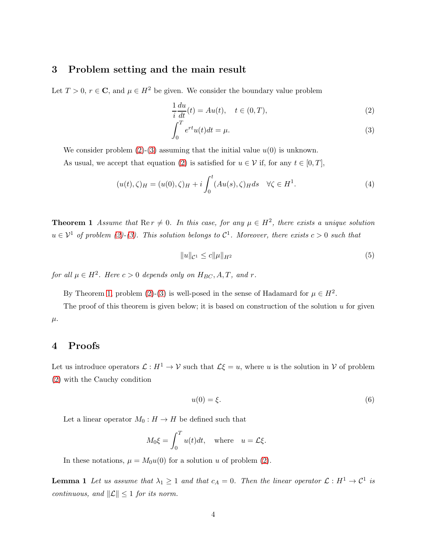#### <span id="page-3-0"></span>3 Problem setting and the main result

Let  $T > 0$ ,  $r \in \mathbb{C}$ , and  $\mu \in H^2$  be given. We consider the boundary value problem

<span id="page-3-3"></span>
$$
\frac{1}{i}\frac{du}{dt}(t) = Au(t), \quad t \in (0, T),
$$
\n(2)

$$
\int_0^T e^{rt}u(t)dt = \mu.
$$
\n(3)

We consider problem  $(2)-(3)$  $(2)-(3)$  assuming that the initial value  $u(0)$  is unknown.

As usual, we accept that equation [\(2\)](#page-3-3) is satisfied for  $u \in \mathcal{V}$  if, for any  $t \in [0, T]$ ,

$$
(u(t), \zeta)_H = (u(0), \zeta)_H + i \int_0^t (Au(s), \zeta)_H ds \quad \forall \zeta \in H^1.
$$
 (4)

<span id="page-3-1"></span>**Theorem 1** Assume that  $\text{Re } r \neq 0$ . In this case, for any  $\mu \in H^2$ , there exists a unique solution  $u \in V^1$  of problem [\(2\)](#page-3-3)-[\(3\)](#page-3-3). This solution belongs to  $C^1$ . Moreover, there exists  $c > 0$  such that

<span id="page-3-5"></span>
$$
||u||_{\mathcal{C}^1} \le c||\mu||_{H^2}
$$
\n(5)

for all  $\mu \in H^2$ . Here  $c > 0$  depends only on  $H_{BC}$ , A, T, and r.

By Theorem [1,](#page-3-1) problem [\(2\)](#page-3-3)-[\(3\)](#page-3-3) is well-posed in the sense of Hadamard for  $\mu \in H^2$ .

The proof of this theorem is given below; it is based on construction of the solution  $u$  for given  $\mu$ .

## <span id="page-3-2"></span>4 Proofs

Let us introduce operators  $\mathcal{L}: H^1 \to \mathcal{V}$  such that  $\mathcal{L}\xi = u$ , where u is the solution in V of problem [\(2\)](#page-3-3) with the Cauchy condition

$$
u(0) = \xi. \tag{6}
$$

Let a linear operator  $M_0: H \to H$  be defined such that

$$
M_0 \xi = \int_0^T u(t) dt, \text{ where } u = \mathcal{L} \xi.
$$

<span id="page-3-4"></span>In these notations,  $\mu = M_0 u(0)$  for a solution u of problem [\(2\)](#page-3-3).

**Lemma 1** Let us assume that  $\lambda_1 \geq 1$  and that  $c_A = 0$ . Then the linear operator  $\mathcal{L}: H^1 \to \mathcal{C}^1$  is continuous, and  $\|\mathcal{L}\| \leq 1$  for its norm.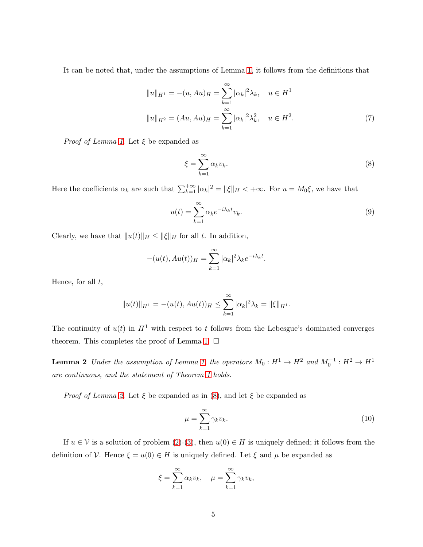It can be noted that, under the assumptions of Lemma [1,](#page-3-4) it follows from the definitions that

<span id="page-4-3"></span>
$$
||u||_{H^1} = -(u, Au)_H = \sum_{k=1}^{\infty} |\alpha_k|^2 \lambda_k, \quad u \in H^1
$$
  

$$
||u||_{H^2} = (Au, Au)_H = \sum_{k=1}^{\infty} |\alpha_k|^2 \lambda_k^2, \quad u \in H^2.
$$
 (7)

*Proof of Lemma [1](#page-3-4).* Let  $\xi$  be expanded as

<span id="page-4-1"></span>
$$
\xi = \sum_{k=1}^{\infty} \alpha_k v_k. \tag{8}
$$

Here the coefficients  $\alpha_k$  are such that  $\sum_{k=1}^{+\infty} |\alpha_k|^2 = ||\xi||_H < +\infty$ . For  $u = M_0 \xi$ , we have that

<span id="page-4-2"></span>
$$
u(t) = \sum_{k=1}^{\infty} \alpha_k e^{-i\lambda_k t} v_k.
$$
\n(9)

Clearly, we have that  $||u(t)||_H \leq ||\xi||_H$  for all t. In addition,

$$
-(u(t), Au(t))_H = \sum_{k=1}^{\infty} |\alpha_k|^2 \lambda_k e^{-i\lambda_k t}.
$$

Hence, for all  $t$ ,

$$
||u(t)||_{H^1} = -(u(t), Au(t))_H \le \sum_{k=1}^{\infty} |\alpha_k|^2 \lambda_k = ||\xi||_{H^1}.
$$

<span id="page-4-0"></span>The continuity of  $u(t)$  in  $H^1$  with respect to t follows from the Lebesgue's dominated converges theorem. This completes the proof of Lemma [1.](#page-3-4)  $\square$ 

**Lemma 2** Under the assumption of Lemma [1,](#page-3-4) the operators  $M_0: H^1 \to H^2$  and  $M_0^{-1}: H^2 \to H^1$ are continuous, and the statement of Theorem [1](#page-3-1) holds.

*Proof of Lemma [2](#page-4-0).* Let  $\xi$  be expanded as in [\(8\)](#page-4-1), and let  $\xi$  be expanded as

$$
\mu = \sum_{k=1}^{\infty} \gamma_k v_k.
$$
\n(10)

If  $u \in V$  is a solution of problem [\(2\)](#page-3-3)-[\(3\)](#page-3-3), then  $u(0) \in H$  is uniquely defined; it follows from the definition of V. Hence  $\xi = u(0) \in H$  is uniquely defined. Let  $\xi$  and  $\mu$  be expanded as

$$
\xi = \sum_{k=1}^{\infty} \alpha_k v_k, \quad \mu = \sum_{k=1}^{\infty} \gamma_k v_k,
$$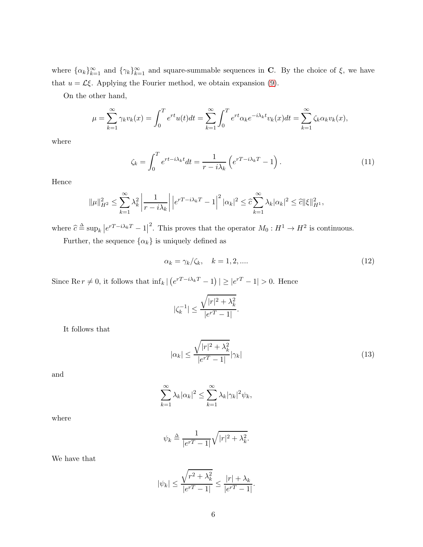where  $\{\alpha_k\}_{k=1}^{\infty}$  and  $\{\gamma_k\}_{k=1}^{\infty}$  and square-summable sequences in C. By the choice of  $\xi$ , we have that  $u = \mathcal{L}\xi$ . Applying the Fourier method, we obtain expansion [\(9\)](#page-4-2).

On the other hand,

$$
\mu = \sum_{k=1}^{\infty} \gamma_k v_k(x) = \int_0^T e^{rt} u(t) dt = \sum_{k=1}^{\infty} \int_0^T e^{rt} \alpha_k e^{-i\lambda_k t} v_k(x) dt = \sum_{k=1}^{\infty} \zeta_k \alpha_k v_k(x),
$$

where

<span id="page-5-0"></span>
$$
\zeta_k = \int_0^T e^{rt - i\lambda_k t} dt = \frac{1}{r - i\lambda_k} \left( e^{r - i\lambda_k T} - 1 \right). \tag{11}
$$

Hence

$$
\|\mu\|_{H^2}^2\leq \sum_{k=1}^\infty \lambda_k^2 \left|\frac{1}{r-i\lambda_k}\right| \left|e^{rT-i\lambda_k T}-1\right|^2|\alpha_k|^2\leq \widehat{c}\sum_{k=1}^\infty \lambda_k|\alpha_k|^2\leq \widehat{c}\|\xi\|_{H^1}^2,
$$

where  $\hat{c} \triangleq \sup_k |e^{rT - i\lambda_k T} - 1|^2$ . This proves that the operator  $M_0: H^1 \to H^2$  is continuous.

Further, the sequence  $\{\alpha_k\}$  is uniquely defined as

<span id="page-5-1"></span>
$$
\alpha_k = \gamma_k/\zeta_k, \quad k = 1, 2, \dots \tag{12}
$$

Since Re  $r \neq 0$ , it follows that  $\inf_k | (e^{rT-i\lambda_kT} - 1) | \geq |e^{rT} - 1| > 0$ . Hence

$$
|\zeta_k^{-1}|\leq \frac{\sqrt{|r|^2+\lambda_k^2}}{|e^{rT}-1|}.
$$

It follows that

$$
|\alpha_k| \le \frac{\sqrt{|r|^2 + \lambda_k^2}}{|e^{rT} - 1|} |\gamma_k| \tag{13}
$$

and

$$
\sum_{k=1}^{\infty} \lambda_k |\alpha_k|^2 \le \sum_{k=1}^{\infty} \lambda_k |\gamma_k|^2 \psi_k,
$$

where

$$
\psi_k \triangleq \frac{1}{|e^{rT} - 1|} \sqrt{|r|^2 + \lambda_k^2}.
$$

We have that

$$
|\psi_k|\leq \frac{\sqrt{r^2+\lambda_k^2}}{|e^{rT}-1|}\leq \frac{|r|+\lambda_k}{|e^{rT}-1|}.
$$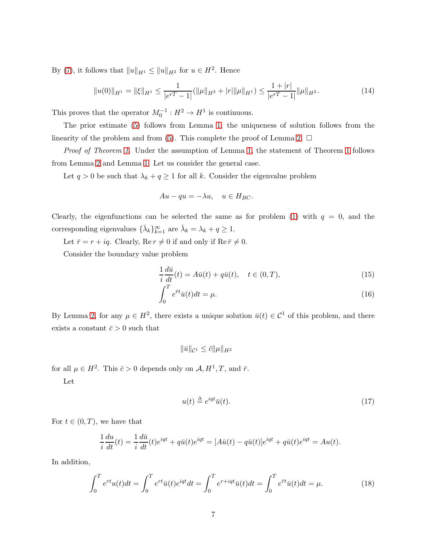By [\(7\)](#page-4-3), it follows that  $||u||_{H^1} \le ||u||_{H^2}$  for  $u \in H^2$ . Hence

$$
||u(0)||_{H^1} = ||\xi||_{H^1} \le \frac{1}{|e^{rT} - 1|} (||\mu||_{H^2} + |r||\mu||_{H^1}) \le \frac{1 + |r|}{|e^{rT} - 1|} ||\mu||_{H^2}.
$$
\n(14)

This proves that the operator  $M_0^{-1}: H^2 \to H^1$  is continuous.

The prior estimate [\(5\)](#page-3-5) follows from Lemma [1;](#page-3-4) the uniqueness of solution follows from the linearity of the problem and from [\(5\)](#page-3-5). This complete the proof of Lemma [2.](#page-4-0)  $\Box$ 

*Proof of Theorem [1](#page-3-1).* Under the assumption of Lemma [1,](#page-3-4) the statement of Theorem 1 follows from Lemma [2](#page-4-0) and Lemma [1.](#page-3-4) Let us consider the general case.

Let  $q > 0$  be such that  $\lambda_k + q \ge 1$  for all k. Consider the eigenvalue problem

$$
Au - qu = -\lambda u, \quad u \in H_{BC}.
$$

Clearly, the eigenfunctions can be selected the same as for problem [\(1\)](#page-1-1) with  $q = 0$ , and the corresponding eigenvalues  $\{\bar{\lambda}_k\}_{k=1}^{\infty}$  are  $\bar{\lambda}_k = \lambda_k + q \ge 1$ .

Let  $\bar{r} = r + iq$ . Clearly, Re  $r \neq 0$  if and only if Re  $\bar{r} \neq 0$ .

Consider the boundary value problem

<span id="page-6-0"></span>
$$
\frac{1}{i}\frac{d\bar{u}}{dt}(t) = A\bar{u}(t) + q\bar{u}(t), \quad t \in (0, T),
$$
\n(15)

$$
\int_0^1 e^{\bar{r}t}\bar{u}(t)dt = \mu.
$$
\n(16)

By Lemma [2,](#page-4-0) for any  $\mu \in H^2$ , there exists a unique solution  $\bar{u}(t) \in C^1$  of this problem, and there exists a constant  $\bar{c} > 0$  such that

 $\|\bar{u}\|_{\mathcal{C}^1} \leq \bar{c} \|\mu\|_{H^2}$ 

for all  $\mu \in H^2$ . This  $\bar{c} > 0$  depends only on  $\mathcal{A}, H^1, T$ , and  $\bar{r}$ .

Let

<span id="page-6-1"></span>
$$
u(t) \stackrel{\Delta}{=} e^{iqt} \bar{u}(t). \tag{17}
$$

For  $t \in (0, T)$ , we have that

$$
\frac{1}{i}\frac{du}{dt}(t) = \frac{1}{i}\frac{d\bar{u}}{dt}(t)e^{iqt} + q\bar{u}(t)e^{iqt} = [A\bar{u}(t) - q\bar{u}(t)]e^{iqt} + q\bar{u}(t)e^{iqt} = Au(t).
$$

In addition,

$$
\int_0^T e^{rt} u(t) dt = \int_0^T e^{rt} \bar{u}(t) e^{iqt} dt = \int_0^T e^{r+iqt} \bar{u}(t) dt = \int_0^T e^{\bar{r}t} \bar{u}(t) dt = \mu.
$$
 (18)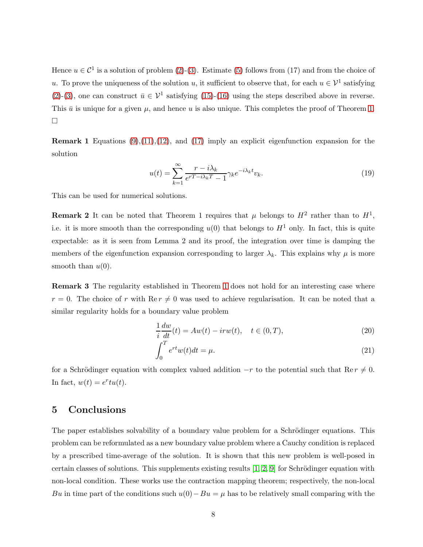Hence  $u \in \mathcal{C}^1$  is a solution of problem [\(2\)](#page-3-3)-[\(3\)](#page-3-3). Estimate [\(5\)](#page-3-5) follows from (17) and from the choice of u. To prove the uniqueness of the solution u, it sufficient to observe that, for each  $u \in \mathcal{V}^1$  satisfying [\(2\)](#page-3-3)-[\(3\)](#page-3-3), one can construct  $\bar{u} \in \mathcal{V}^1$  satisfying [\(15\)](#page-6-0)-[\(16\)](#page-6-0) using the steps described above in reverse. This  $\bar{u}$  is unique for a given  $\mu$ , and hence u is also unique. This completes the proof of Theorem [1.](#page-3-1)  $\Box$ 

**Remark 1** Equations  $(9)(11)(12)$  $(9)(11)(12)$  $(9)(11)(12)$ , and  $(17)$  imply an explicit eigenfunction expansion for the solution

$$
u(t) = \sum_{k=1}^{\infty} \frac{r - i\lambda_k}{e^{rT - i\lambda_k T} - 1} \gamma_k e^{-i\lambda_k t} v_k.
$$
\n(19)

This can be used for numerical solutions.

**Remark 2** It can be noted that Theorem 1 requires that  $\mu$  belongs to  $H^2$  rather than to  $H^1$ , i.e. it is more smooth than the corresponding  $u(0)$  that belongs to  $H<sup>1</sup>$  only. In fact, this is quite expectable: as it is seen from Lemma 2 and its proof, the integration over time is damping the members of the eigenfunction expansion corresponding to larger  $\lambda_k$ . This explains why  $\mu$  is more smooth than  $u(0)$ .

Remark 3 The regularity established in Theorem [1](#page-3-1) does not hold for an interesting case where  $r = 0$ . The choice of r with Re  $r \neq 0$  was used to achieve regularisation. It can be noted that a similar regularity holds for a boundary value problem

$$
\frac{1}{i}\frac{dw}{dt}(t) = Aw(t) - irw(t), \quad t \in (0, T),\tag{20}
$$

$$
\int_0^T e^{rt}w(t)dt = \mu.
$$
\n(21)

for a Schrödinger equation with complex valued addition  $-r$  to the potential such that Re  $r \neq 0$ . In fact,  $w(t) = e^r t u(t)$ .

# 5 Conclusions

The paper establishes solvability of a boundary value problem for a Schrödinger equations. This problem can be reformulated as a new boundary value problem where a Cauchy condition is replaced by a prescribed time-average of the solution. It is shown that this new problem is well-posed in certain classes of solutions. This supplements existing results  $[1, 2, 9]$  $[1, 2, 9]$  $[1, 2, 9]$  for Schrödinger equation with non-local condition. These works use the contraction mapping theorem; respectively, the non-local Bu in time part of the conditions such  $u(0)-Bu = \mu$  has to be relatively small comparing with the